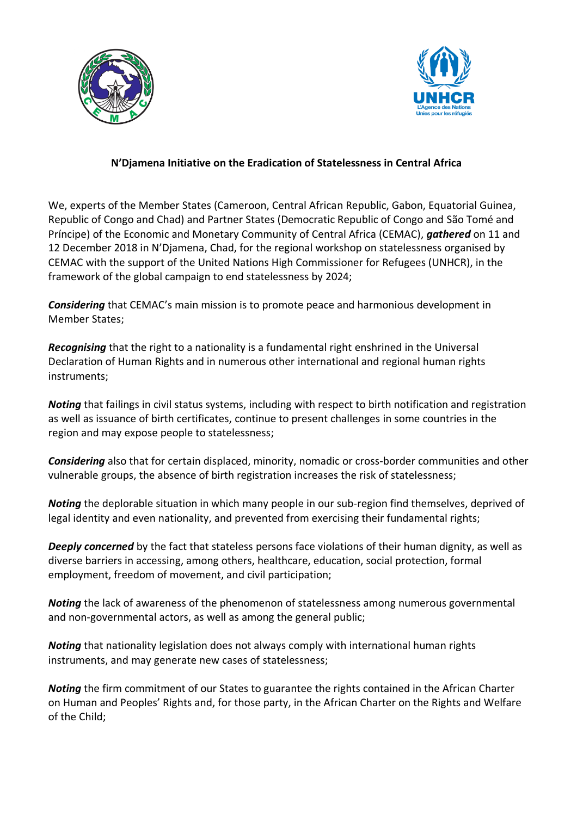



## **N'Djamena Initiative on the Eradication of Statelessness in Central Africa**

We, experts of the Member States (Cameroon, Central African Republic, Gabon, Equatorial Guinea, Republic of Congo and Chad) and Partner States (Democratic Republic of Congo and São Tomé and Príncipe) of the Economic and Monetary Community of Central Africa (CEMAC), *gathered* on 11 and 12 December 2018 in N'Djamena, Chad, for the regional workshop on statelessness organised by CEMAC with the support of the United Nations High Commissioner for Refugees (UNHCR), in the framework of the global campaign to end statelessness by 2024;

*Considering* that CEMAC's main mission is to promote peace and harmonious development in Member States;

*Recognising* that the right to a nationality is a fundamental right enshrined in the Universal Declaration of Human Rights and in numerous other international and regional human rights instruments;

*Noting* that failings in civil status systems, including with respect to birth notification and registration as well as issuance of birth certificates, continue to present challenges in some countries in the region and may expose people to statelessness;

*Considering* also that for certain displaced, minority, nomadic or cross-border communities and other vulnerable groups, the absence of birth registration increases the risk of statelessness;

*Noting* the deplorable situation in which many people in our sub-region find themselves, deprived of legal identity and even nationality, and prevented from exercising their fundamental rights;

*Deeply concerned* by the fact that stateless persons face violations of their human dignity, as well as diverse barriers in accessing, among others, healthcare, education, social protection, formal employment, freedom of movement, and civil participation;

*Noting* the lack of awareness of the phenomenon of statelessness among numerous governmental and non-governmental actors, as well as among the general public;

*Noting* that nationality legislation does not always comply with international human rights instruments, and may generate new cases of statelessness;

*Noting* the firm commitment of our States to guarantee the rights contained in the African Charter on Human and Peoples' Rights and, for those party, in the African Charter on the Rights and Welfare of the Child;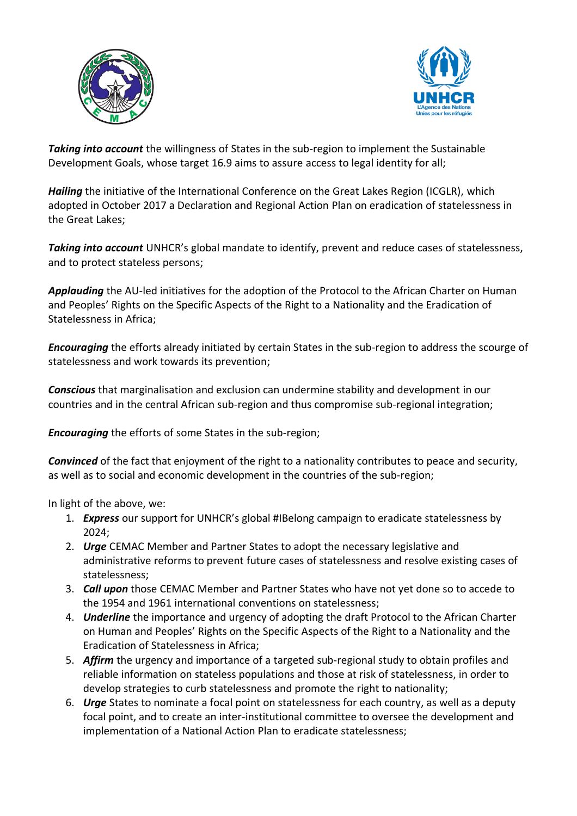



*Taking into account* the willingness of States in the sub-region to implement the Sustainable Development Goals, whose target 16.9 aims to assure access to legal identity for all;

*Hailing* the initiative of the International Conference on the Great Lakes Region (ICGLR), which adopted in October 2017 a Declaration and Regional Action Plan on eradication of statelessness in the Great Lakes;

*Taking into account* UNHCR's global mandate to identify, prevent and reduce cases of statelessness, and to protect stateless persons;

*Applauding* the AU-led initiatives for the adoption of the Protocol to the African Charter on Human and Peoples' Rights on the Specific Aspects of the Right to a Nationality and the Eradication of Statelessness in Africa;

*Encouraging* the efforts already initiated by certain States in the sub-region to address the scourge of statelessness and work towards its prevention;

*Conscious* that marginalisation and exclusion can undermine stability and development in our countries and in the central African sub-region and thus compromise sub-regional integration;

*Encouraging* the efforts of some States in the sub-region;

*Convinced* of the fact that enjoyment of the right to a nationality contributes to peace and security, as well as to social and economic development in the countries of the sub-region;

In light of the above, we:

- 1. *Express* our support for UNHCR's global #IBelong campaign to eradicate statelessness by 2024;
- 2. *Urge* CEMAC Member and Partner States to adopt the necessary legislative and administrative reforms to prevent future cases of statelessness and resolve existing cases of statelessness;
- 3. *Call upon* those CEMAC Member and Partner States who have not yet done so to accede to the 1954 and 1961 international conventions on statelessness;
- 4. *Underline* the importance and urgency of adopting the draft Protocol to the African Charter on Human and Peoples' Rights on the Specific Aspects of the Right to a Nationality and the Eradication of Statelessness in Africa;
- 5. *Affirm* the urgency and importance of a targeted sub-regional study to obtain profiles and reliable information on stateless populations and those at risk of statelessness, in order to develop strategies to curb statelessness and promote the right to nationality;
- 6. *Urge* States to nominate a focal point on statelessness for each country, as well as a deputy focal point, and to create an inter-institutional committee to oversee the development and implementation of a National Action Plan to eradicate statelessness;